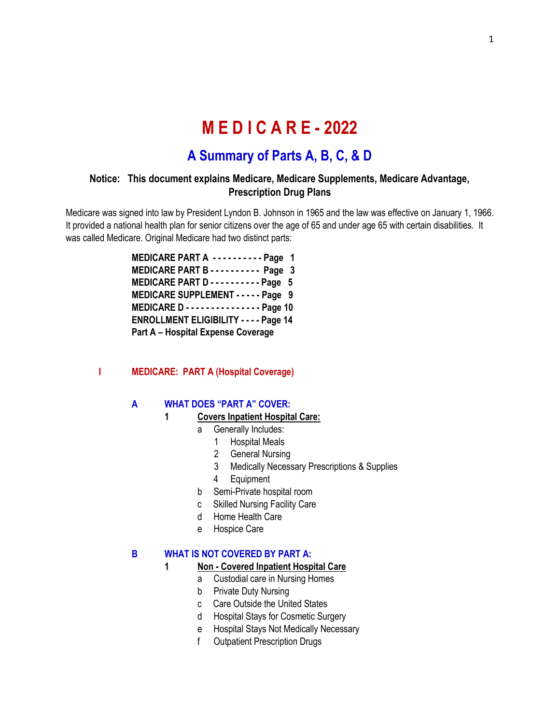# **M E D I C A R E - 2022**

# **A Summary of Parts A, B, C, & D**

# **Notice: This document explains Medicare, Medicare Supplements, Medicare Advantage, Prescription Drug Plans**

Medicare was signed into law by President Lyndon B. Johnson in 1965 and the law was effective on January 1, 1966. It provided a national health plan for senior citizens over the age of 65 and under age 65 with certain disabilities. It was called Medicare. Original Medicare had two distinct parts:

| MEDICARE PART A  Page 1                          |  |
|--------------------------------------------------|--|
| MEDICARE PART B - - - - - - - - - Page 3         |  |
| MEDICARE PART D - - - - - - - - - - Page 5       |  |
| MEDICARE SUPPLEMENT - - - - - Page 9             |  |
| MEDICARE D - - - - - - - - - - - - - - - Page 10 |  |
| ENROLLMENT ELIGIBILITY - - - - Page 14           |  |
| Part A - Hospital Expense Coverage               |  |

#### **I MEDICARE: PART A (Hospital Coverage)**

# **A WHAT DOES "PART A" COVER:**

- **1 Covers Inpatient Hospital Care:**
	- a Generally Includes:
		- 1 Hospital Meals
		- 2 General Nursing
		- 3 Medically Necessary Prescriptions & Supplies
		- 4 Equipment
	- b Semi-Private hospital room
	- c Skilled Nursing Facility Care
	- d Home Health Care
	- e Hospice Care

# **B WHAT IS NOT COVERED BY PART A:**

# **1 Non - Covered Inpatient Hospital Care**

- a Custodial care in Nursing Homes
- b Private Duty Nursing
- c Care Outside the United States
- d Hospital Stays for Cosmetic Surgery
- e Hospital Stays Not Medically Necessary
- f Outpatient Prescription Drugs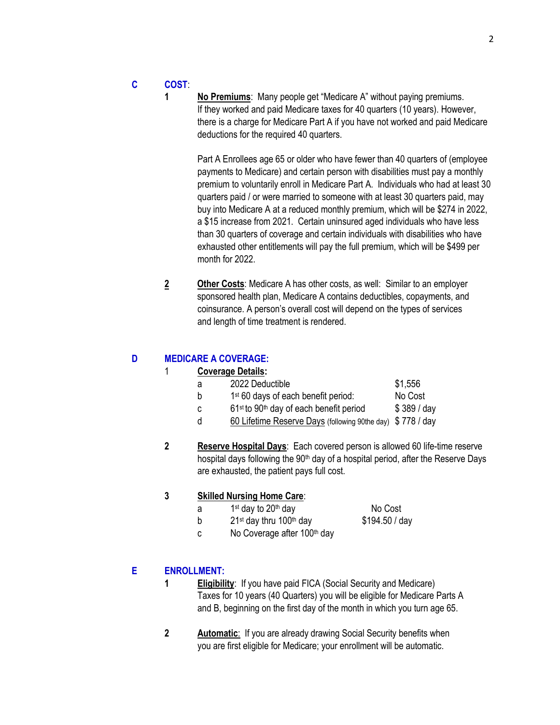# **C COST**:

**1 No Premiums**: Many people get "Medicare A" without paying premiums. If they worked and paid Medicare taxes for 40 quarters (10 years). However, there is a charge for Medicare Part A if you have not worked and paid Medicare deductions for the required 40 quarters.

> Part A Enrollees age 65 or older who have fewer than 40 quarters of (employee payments to Medicare) and certain person with disabilities must pay a monthly premium to voluntarily enroll in Medicare Part A. Individuals who had at least 30 quarters paid / or were married to someone with at least 30 quarters paid, may buy into Medicare A at a reduced monthly premium, which will be \$274 in 2022, a \$15 increase from 2021. Certain uninsured aged individuals who have less than 30 quarters of coverage and certain individuals with disabilities who have exhausted other entitlements will pay the full premium, which will be \$499 per month for 2022

**2 Other Costs**: Medicare A has other costs, as well: Similar to an employer sponsored health plan, Medicare A contains deductibles, copayments, and coinsurance. A person's overall cost will depend on the types of services and length of time treatment is rendered.

# **D MEDICARE A COVERAGE:**

### 1 **Coverage Details:**

|  | 2022 Deductible | \$1,556 |
|--|-----------------|---------|
|--|-----------------|---------|

- b 1<sup>st</sup> 60 days of each benefit period: No Cost
- c  $61^{st}$  to  $90^{th}$  day of each benefit period  $$389 / day$
- d 60 Lifetime Reserve Days (following 90the day) \$ 778 / day
- **2 Reserve Hospital Days**: Each covered person is allowed 60 life-time reserve hospital days following the 90<sup>th</sup> day of a hospital period, after the Reserve Days are exhausted, the patient pays full cost.

### **3 Skilled Nursing Home Care**:

- a  $1<sup>st</sup>$  day to  $20<sup>th</sup>$  day  $\sim$  No Cost
- b  $21$ <sup>st</sup> day thru 100<sup>th</sup> day  $$194.50 / day$
- c  $\sim$  No Coverage after 100<sup>th</sup> day

# **E ENROLLMENT:**

- **1 Eligibility**: If you have paid FICA (Social Security and Medicare) Taxes for 10 years (40 Quarters) you will be eligible for Medicare Parts A and B, beginning on the first day of the month in which you turn age 65.
- **2 Automatic:** If you are already drawing Social Security benefits when you are first eligible for Medicare; your enrollment will be automatic.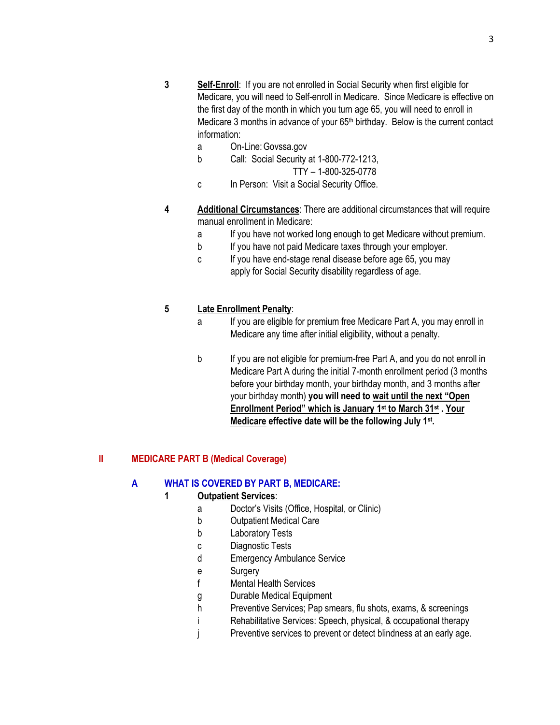- **3 Self-Enroll**: If you are not enrolled in Social Security when first eligible for Medicare, you will need to Self-enroll in Medicare. Since Medicare is effective on the first day of the month in which you turn age 65, you will need to enroll in Medicare 3 months in advance of your  $65<sup>th</sup>$  birthday. Below is the current contact information:
	- a On-Line:Govssa.gov
	- b Call: Social Security at 1-800-772-1213,
		- TTY 1-800-325-0778
	- c In Person: Visit a Social Security Office.
- **4 Additional Circumstances**: There are additional circumstances that will require manual enrollment in Medicare:
	- a If you have not worked long enough to get Medicare without premium.
	- b If you have not paid Medicare taxes through your employer.
	- c If you have end-stage renal disease before age 65, you may apply for Social Security disability regardless of age.

# **5 Late Enrollment Penalty**:

- a If you are eligible for premium free Medicare Part A, you may enroll in Medicare any time after initial eligibility, without a penalty.
- b If you are not eligible for premium-free Part A, and you do not enroll in Medicare Part A during the initial 7-month enrollment period (3 months before your birthday month, your birthday month, and 3 months after your birthday month) **you will need to wait until the next "Open Enrollment Period" which is January 1st to March 31st . Your Medicare effective date will be the following July 1st .**

# **II MEDICARE PART B (Medical Coverage)**

# **A WHAT IS COVERED BY PART B, MEDICARE:**

# **1 Outpatient Services**:

- a Doctor's Visits (Office, Hospital, or Clinic)
- b Outpatient Medical Care
- b Laboratory Tests
- c Diagnostic Tests
- d Emergency Ambulance Service
- e Surgery
- f Mental Health Services
- g Durable Medical Equipment
- h Preventive Services; Pap smears, flu shots, exams, & screenings
- i Rehabilitative Services: Speech, physical, & occupational therapy
- j Preventive services to prevent or detect blindness at an early age.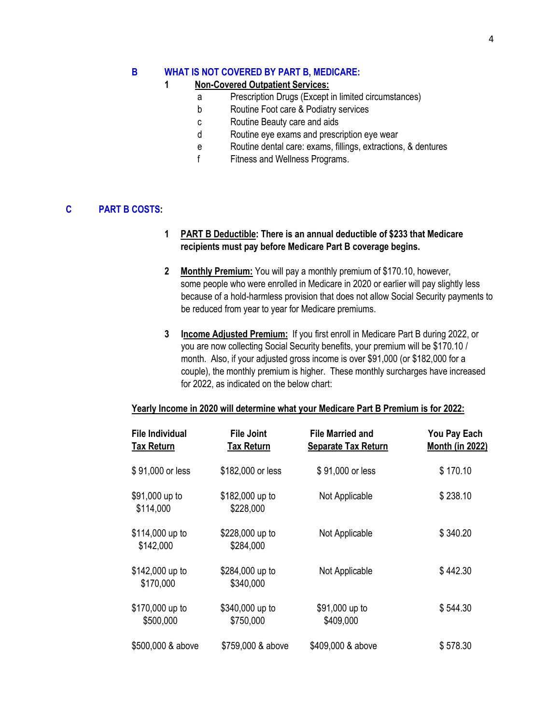# **B WHAT IS NOT COVERED BY PART B, MEDICARE:**

#### **1 Non-Covered Outpatient Services:**

- a Prescription Drugs (Except in limited circumstances)
- b Routine Foot care & Podiatry services
- c Routine Beauty care and aids
- d Routine eye exams and prescription eye wear
- e Routine dental care: exams, fillings, extractions, & dentures
- f Fitness and Wellness Programs.

# **C PART B COSTS:**

# **1 PART B Deductible: There is an annual deductible of \$233 that Medicare recipients must pay before Medicare Part B coverage begins.**

- **2 Monthly Premium:** You will pay a monthly premium of \$170.10, however, some people who were enrolled in Medicare in 2020 or earlier will pay slightly less because of a hold-harmless provision that does not allow Social Security payments to be reduced from year to year for Medicare premiums.
- **3 Income Adjusted Premium:** If you first enroll in Medicare Part B during 2022, or you are now collecting Social Security benefits, your premium will be \$170.10 / month. Also, if your adjusted gross income is over \$91,000 (or \$182,000 for a couple), the monthly premium is higher. These monthly surcharges have increased for 2022, as indicated on the below chart:

#### **Yearly Income in 2020 will determine what your Medicare Part B Premium is for 2022:**

| <b>File Individual</b><br><b>Tax Return</b> | <b>File Joint</b><br><b>Tax Return</b> | <b>File Married and</b><br><b>Separate Tax Return</b> | You Pay Each<br><b>Month (in 2022)</b> |
|---------------------------------------------|----------------------------------------|-------------------------------------------------------|----------------------------------------|
| \$91,000 or less                            | \$182,000 or less                      | \$91,000 or less                                      | \$170.10                               |
| \$91,000 up to<br>\$114,000                 | \$182,000 up to<br>\$228,000           | Not Applicable                                        | \$238.10                               |
| \$114,000 up to<br>\$142,000                | \$228,000 up to<br>\$284,000           | Not Applicable                                        | \$340.20                               |
| \$142,000 up to<br>\$170,000                | \$284,000 up to<br>\$340,000           | Not Applicable                                        | \$442.30                               |
| \$170,000 up to<br>\$500,000                | \$340,000 up to<br>\$750,000           | \$91,000 up to<br>\$409,000                           | \$544.30                               |
| \$500,000 & above                           | \$759,000 & above                      | \$409,000 & above                                     | \$578.30                               |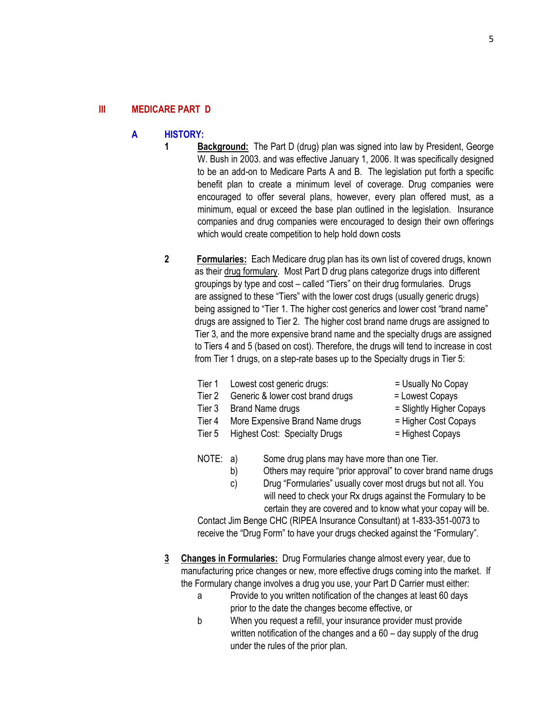#### **III MEDICARE PART D**

### **A HISTORY:**

- **1 Background:** The Part D (drug) plan was signed into law by President, George W. Bush in 2003. and was effective January 1, 2006. It was specifically designed to be an add-on to Medicare Parts A and B. The legislation put forth a specific benefit plan to create a minimum level of coverage. Drug companies were encouraged to offer several plans, however, every plan offered must, as a minimum, equal or exceed the base plan outlined in the legislation. Insurance companies and drug companies were encouraged to design their own offerings which would create competition to help hold down costs
- **2 Formularies:** Each Medicare drug plan has its own list of covered drugs, known as their drug formulary. Most Part D drug plans categorize drugs into different groupings by type and cost – called "Tiers" on their drug formularies. Drugs are assigned to these "Tiers" with the lower cost drugs (usually generic drugs) being assigned to "Tier 1. The higher cost generics and lower cost "brand name" drugs are assigned to Tier 2. The higher cost brand name drugs are assigned to Tier 3, and the more expensive brand name and the specialty drugs are assigned to Tiers 4 and 5 (based on cost). Therefore, the drugs will tend to increase in cost from Tier 1 drugs, on a step-rate bases up to the Specialty drugs in Tier 5:
	- Tier 1 Lowest cost generic drugs:  $=$  Usually No Copay
- - Tier 2 Generic & lower cost brand drugs = Lowest Copays
	- Tier 3 Brand Name drugs = Slightly Higher Copays
- -
	- Tier 4 More Expensive Brand Name drugs = Higher Cost Copays Tier 5 Highest Cost: Specialty Drugs = Highest Copays
		-
	- NOTE: a) Some drug plans may have more than one Tier.
		- b) Others may require "prior approval" to cover brand name drugs
		- c) Drug "Formularies" usually cover most drugs but not all. You will need to check your Rx drugs against the Formulary to be certain they are covered and to know what your copay will be.

Contact Jim Benge CHC (RIPEA Insurance Consultant) at 1-833-351-0073 to receive the "Drug Form" to have your drugs checked against the "Formulary".

- **3 Changes in Formularies:** Drug Formularies change almost every year, due to manufacturing price changes or new, more effective drugs coming into the market. If the Formulary change involves a drug you use, your Part D Carrier must either:
	- a Provide to you written notification of the changes at least 60 days prior to the date the changes become effective, or
	- b When you request a refill, your insurance provider must provide written notification of the changes and a 60 – day supply of the drug under the rules of the prior plan.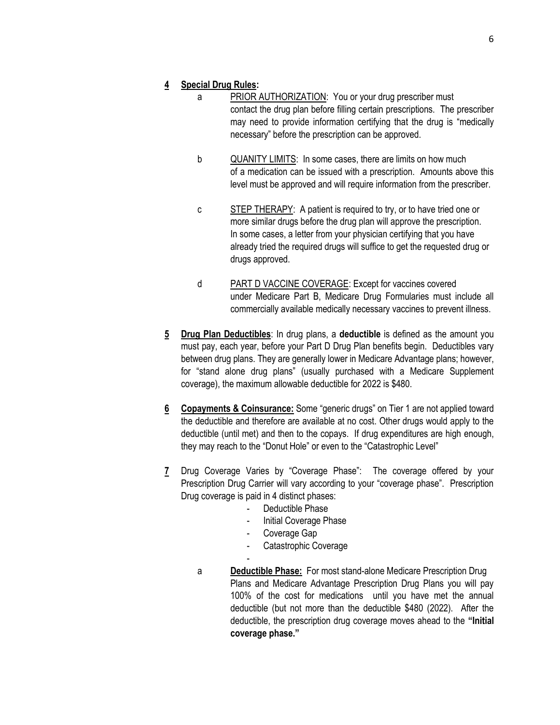# **4 Special Drug Rules:**

- a PRIOR AUTHORIZATION: You or your drug prescriber must contact the drug plan before filling certain prescriptions. The prescriber may need to provide information certifying that the drug is "medically necessary" before the prescription can be approved.
- b QUANITY LIMITS: In some cases, there are limits on how much of a medication can be issued with a prescription. Amounts above this level must be approved and will require information from the prescriber.
- c STEP THERAPY: A patient is required to try, or to have tried one or more similar drugs before the drug plan will approve the prescription. In some cases, a letter from your physician certifying that you have already tried the required drugs will suffice to get the requested drug or drugs approved.
- d PART D VACCINE COVERAGE: Except for vaccines covered under Medicare Part B, Medicare Drug Formularies must include all commercially available medically necessary vaccines to prevent illness.
- **5 Drug Plan Deductibles**: In drug plans, a **deductible** is defined as the amount you must pay, each year, before your Part D Drug Plan benefits begin. Deductibles vary between drug plans. They are generally lower in Medicare Advantage plans; however, for "stand alone drug plans" (usually purchased with a Medicare Supplement coverage), the maximum allowable deductible for 2022 is \$480.
- **6 Copayments & Coinsurance:** Some "generic drugs" on Tier 1 are not applied toward the deductible and therefore are available at no cost. Other drugs would apply to the deductible (until met) and then to the copays. If drug expenditures are high enough, they may reach to the "Donut Hole" or even to the "Catastrophic Level"
- **7** Drug Coverage Varies by "Coverage Phase": The coverage offered by your Prescription Drug Carrier will vary according to your "coverage phase". Prescription Drug coverage is paid in 4 distinct phases:
	- Deductible Phase
	- Initial Coverage Phase
	- Coverage Gap
	- Catastrophic Coverage
	- a **Deductible Phase:** For most stand-alone Medicare Prescription Drug Plans and Medicare Advantage Prescription Drug Plans you will pay 100% of the cost for medications until you have met the annual deductible (but not more than the deductible \$480 (2022). After the deductible, the prescription drug coverage moves ahead to the **"Initial coverage phase."**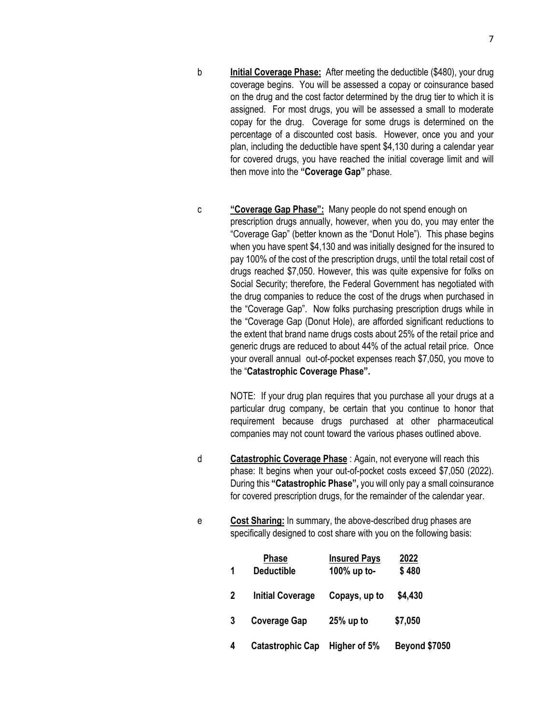- b **Initial Coverage Phase:** After meeting the deductible (\$480), your drug coverage begins. You will be assessed a copay or coinsurance based on the drug and the cost factor determined by the drug tier to which it is assigned. For most drugs, you will be assessed a small to moderate copay for the drug. Coverage for some drugs is determined on the percentage of a discounted cost basis. However, once you and your plan, including the deductible have spent \$4,130 during a calendar year for covered drugs, you have reached the initial coverage limit and will then move into the **"Coverage Gap"** phase.
- 

c **"Coverage Gap Phase":** Many people do not spend enough on prescription drugs annually, however, when you do, you may enter the "Coverage Gap" (better known as the "Donut Hole"). This phase begins when you have spent \$4,130 and was initially designed for the insured to pay 100% of the cost of the prescription drugs, until the total retail cost of drugs reached \$7,050. However, this was quite expensive for folks on Social Security; therefore, the Federal Government has negotiated with the drug companies to reduce the cost of the drugs when purchased in the "Coverage Gap". Now folks purchasing prescription drugs while in the "Coverage Gap (Donut Hole), are afforded significant reductions to the extent that brand name drugs costs about 25% of the retail price and generic drugs are reduced to about 44% of the actual retail price. Once your overall annual out-of-pocket expenses reach \$7,050, you move to the "**Catastrophic Coverage Phase".**

> NOTE: If your drug plan requires that you purchase all your drugs at a particular drug company, be certain that you continue to honor that requirement because drugs purchased at other pharmaceutical companies may not count toward the various phases outlined above.

- d **Catastrophic Coverage Phase** : Again, not everyone will reach this phase: It begins when your out-of-pocket costs exceed \$7,050 (2022). During this **"Catastrophic Phase",** you will only pay a small coinsurance for covered prescription drugs, for the remainder of the calendar year.
- e **Cost Sharing:** In summary, the above-described drug phases are specifically designed to cost share with you on the following basis:

| 1              | <b>Phase</b><br><b>Deductible</b> | <b>Insured Pays</b><br>100% up to- | 2022<br>\$480        |
|----------------|-----------------------------------|------------------------------------|----------------------|
| $\overline{2}$ | <b>Initial Coverage</b>           | Copays, up to                      | \$4,430              |
| -3             | <b>Coverage Gap</b>               | $25%$ up to                        | \$7,050              |
| 4              | <b>Catastrophic Cap</b>           | Higher of 5%                       | <b>Beyond \$7050</b> |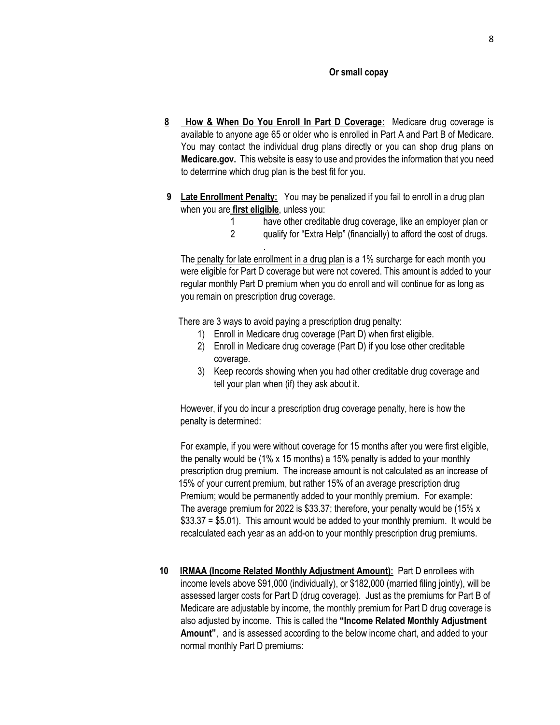#### **Or small copay**

- **8 How & When Do You Enroll In Part D Coverage:** Medicare drug coverage is available to anyone age 65 or older who is enrolled in Part A and Part B of Medicare. You may contact the individual drug plans directly or you can shop drug plans on **Medicare.gov.** This website is easy to use and provides the information that you need to determine which drug plan is the best fit for you.
- **9 Late Enrollment Penalty:** You may be penalized if you fail to enroll in a drug plan when you are **first eligible**, unless you:
	- 1 have other creditable drug coverage, like an employer plan or
	- 2 qualify for "Extra Help" (financially) to afford the cost of drugs.

 The penalty for late enrollment in a drug plan is a 1% surcharge for each month you were eligible for Part D coverage but were not covered. This amount is added to your regular monthly Part D premium when you do enroll and will continue for as long as you remain on prescription drug coverage.

There are 3 ways to avoid paying a prescription drug penalty:

.

- 1) Enroll in Medicare drug coverage (Part D) when first eligible.
- 2) Enroll in Medicare drug coverage (Part D) if you lose other creditable coverage.
- 3) Keep records showing when you had other creditable drug coverage and tell your plan when (if) they ask about it.

However, if you do incur a prescription drug coverage penalty, here is how the penalty is determined:

 For example, if you were without coverage for 15 months after you were first eligible, the penalty would be (1% x 15 months) a 15% penalty is added to your monthly prescription drug premium. The increase amount is not calculated as an increase of 15% of your current premium, but rather 15% of an average prescription drug Premium; would be permanently added to your monthly premium. For example: The average premium for 2022 is \$33.37; therefore, your penalty would be (15% x \$33.37 = \$5.01). This amount would be added to your monthly premium. It would be recalculated each year as an add-on to your monthly prescription drug premiums.

 **10 IRMAA (Income Related Monthly Adjustment Amount):** Part D enrollees with income levels above \$91,000 (individually), or \$182,000 (married filing jointly), will be assessed larger costs for Part D (drug coverage). Just as the premiums for Part B of Medicare are adjustable by income, the monthly premium for Part D drug coverage is also adjusted by income. This is called the **"Income Related Monthly Adjustment Amount"**, and is assessed according to the below income chart, and added to your normal monthly Part D premiums: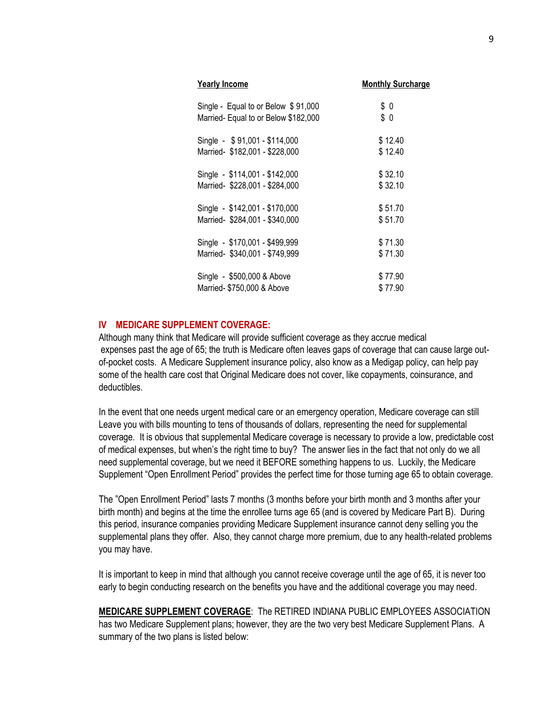| <b>Yearly Income</b>                 | <b>Monthly Surcharge</b> |
|--------------------------------------|--------------------------|
| Single - Equal to or Below \$91,000  | \$0<br>\$0               |
| Married- Equal to or Below \$182,000 |                          |
| Single - \$91,001 - \$114,000        | \$12.40                  |
| Married- \$182,001 - \$228,000       | \$12.40                  |
| Single - \$114,001 - \$142,000       | \$32.10                  |
| Married- \$228,001 - \$284,000       | \$32.10                  |
| Single - \$142,001 - \$170,000       | \$51.70                  |
| Married- \$284,001 - \$340,000       | \$51.70                  |
| Single - \$170,001 - \$499,999       | \$71.30                  |
| Married- \$340,001 - \$749,999       | \$71.30                  |
|                                      |                          |
| Single - \$500,000 & Above           | \$77.90                  |
| Married- \$750,000 & Above           | \$77.90                  |

#### **IV MEDICARE SUPPLEMENT COVERAGE:**

Although many think that Medicare will provide sufficient coverage as they accrue medical expenses past the age of 65; the truth is Medicare often leaves gaps of coverage that can cause large outof-pocket costs. A Medicare Supplement insurance policy, also know as a Medigap policy, can help pay some of the health care cost that Original Medicare does not cover, like copayments, coinsurance, and deductibles.

In the event that one needs urgent medical care or an emergency operation, Medicare coverage can still Leave you with bills mounting to tens of thousands of dollars, representing the need for supplemental coverage. It is obvious that supplemental Medicare coverage is necessary to provide a low, predictable cost of medical expenses, but when's the right time to buy? The answer lies in the fact that not only do we all need supplemental coverage, but we need it BEFORE something happens to us. Luckily, the Medicare Supplement "Open Enrollment Period" provides the perfect time for those turning age 65 to obtain coverage.

The "Open Enrollment Period" lasts 7 months (3 months before your birth month and 3 months after your birth month) and begins at the time the enrollee turns age 65 (and is covered by Medicare Part B). During this period, insurance companies providing Medicare Supplement insurance cannot deny selling you the supplemental plans they offer. Also, they cannot charge more premium, due to any health-related problems you may have.

It is important to keep in mind that although you cannot receive coverage until the age of 65, it is never too early to begin conducting research on the benefits you have and the additional coverage you may need.

**MEDICARE SUPPLEMENT COVERAGE**: The RETIRED INDIANA PUBLIC EMPLOYEES ASSOCIATION has two Medicare Supplement plans; however, they are the two very best Medicare Supplement Plans. A summary of the two plans is listed below: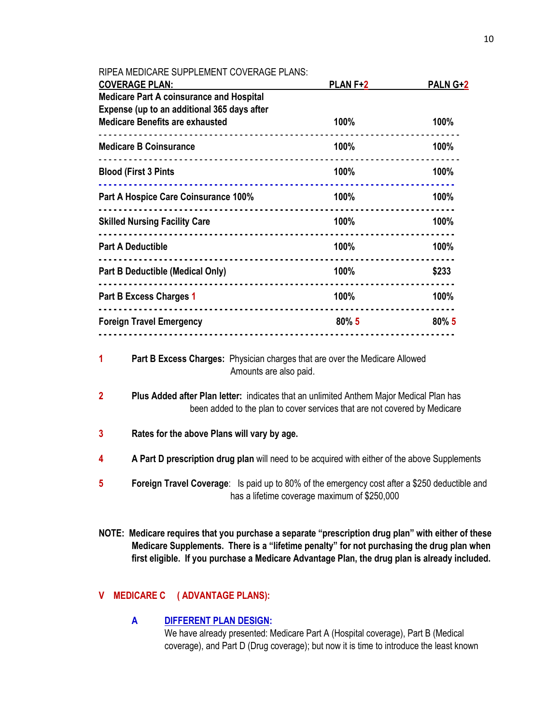| RIPEA MEDICARE SUPPLEMENT COVERAGE PLANS: |
|-------------------------------------------|
|-------------------------------------------|

| <b>COVERAGE PLAN:</b>                           | <b>PLAN F+2</b> | PALN G+2 |
|-------------------------------------------------|-----------------|----------|
| <b>Medicare Part A coinsurance and Hospital</b> |                 |          |
| Expense (up to an additional 365 days after     |                 |          |
| <b>Medicare Benefits are exhausted</b>          | 100%            | 100%     |
| <b>Medicare B Coinsurance</b>                   | 100%            | 100%     |
| <b>Blood (First 3 Pints</b>                     | 100%            | 100%     |
| Part A Hospice Care Coinsurance 100%            | 100%            | 100%     |
| <b>Skilled Nursing Facility Care</b>            | 100%            | 100%     |
| <b>Part A Deductible</b>                        | 100%            | 100%     |
| Part B Deductible (Medical Only)                | 100%            | \$233    |
| Part B Excess Charges 1                         | 100%            | 100%     |
| <b>Foreign Travel Emergency</b>                 | 80% 5           | 80% 5    |
|                                                 |                 |          |

- **1 Part B Excess Charges:** Physician charges that are over the Medicare Allowed Amounts are also paid.
- **2 Plus Added after Plan letter:** indicates that an unlimited Anthem Major Medical Plan has been added to the plan to cover services that are not covered by Medicare
- **3 Rates for the above Plans will vary by age.**
- **4 A Part D prescription drug plan** will need to be acquired with either of the above Supplements
- **5 Foreign Travel Coverage**: Is paid up to 80% of the emergency cost after a \$250 deductible and has a lifetime coverage maximum of \$250,000
- **NOTE: Medicare requires that you purchase a separate "prescription drug plan" with either of these Medicare Supplements. There is a "lifetime penalty" for not purchasing the drug plan when first eligible. If you purchase a Medicare Advantage Plan, the drug plan is already included.**

# **V MEDICARE C ( ADVANTAGE PLANS):**

## **A DIFFERENT PLAN DESIGN:**

We have already presented: Medicare Part A (Hospital coverage), Part B (Medical coverage), and Part D (Drug coverage); but now it is time to introduce the least known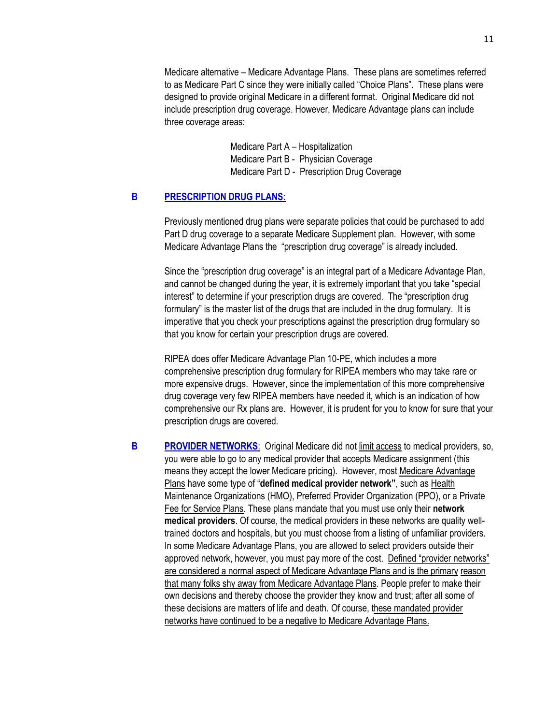Medicare alternative – Medicare Advantage Plans. These plans are sometimes referred to as Medicare Part C since they were initially called "Choice Plans". These plans were designed to provide original Medicare in a different format. Original Medicare did not include prescription drug coverage. However, Medicare Advantage plans can include three coverage areas:

> Medicare Part A – Hospitalization Medicare Part B - Physician Coverage Medicare Part D - Prescription Drug Coverage

#### **B PRESCRIPTION DRUG PLANS:**

Previously mentioned drug plans were separate policies that could be purchased to add Part D drug coverage to a separate Medicare Supplement plan. However, with some Medicare Advantage Plans the "prescription drug coverage" is already included.

Since the "prescription drug coverage" is an integral part of a Medicare Advantage Plan, and cannot be changed during the year, it is extremely important that you take "special interest" to determine if your prescription drugs are covered. The "prescription drug formulary" is the master list of the drugs that are included in the drug formulary. It is imperative that you check your prescriptions against the prescription drug formulary so that you know for certain your prescription drugs are covered.

RIPEA does offer Medicare Advantage Plan 10-PE, which includes a more comprehensive prescription drug formulary for RIPEA members who may take rare or more expensive drugs. However, since the implementation of this more comprehensive drug coverage very few RIPEA members have needed it, which is an indication of how comprehensive our Rx plans are. However, it is prudent for you to know for sure that your prescription drugs are covered.

**B PROVIDER NETWORKS**: Original Medicare did not limit access to medical providers, so, you were able to go to any medical provider that accepts Medicare assignment (this means they accept the lower Medicare pricing). However, most Medicare Advantage Plans have some type of "**defined medical provider network"**, such as Health Maintenance Organizations (HMO), Preferred Provider Organization (PPO), or a Private Fee for Service Plans. These plans mandate that you must use only their **network medical providers**. Of course, the medical providers in these networks are quality welltrained doctors and hospitals, but you must choose from a listing of unfamiliar providers. In some Medicare Advantage Plans, you are allowed to select providers outside their approved network, however, you must pay more of the cost. Defined "provider networks" are considered a normal aspect of Medicare Advantage Plans and is the primary reason that many folks shy away from Medicare Advantage Plans. People prefer to make their own decisions and thereby choose the provider they know and trust; after all some of these decisions are matters of life and death. Of course, these mandated provider networks have continued to be a negative to Medicare Advantage Plans.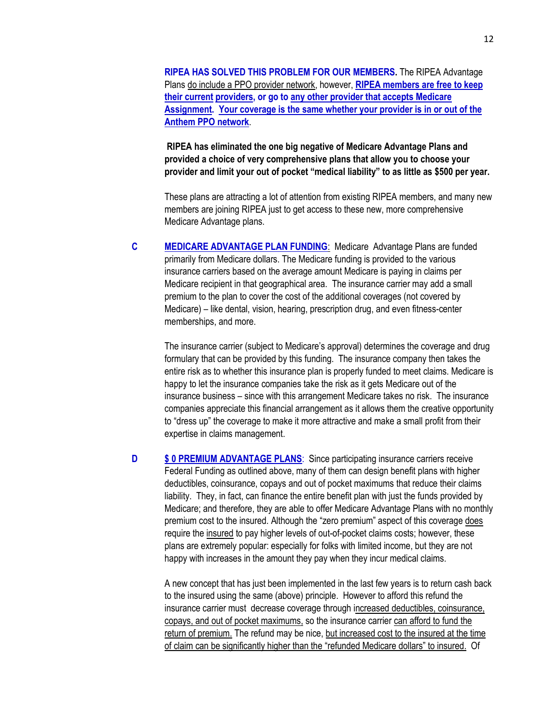**RIPEA HAS SOLVED THIS PROBLEM FOR OUR MEMBERS.** The RIPEA Advantage Plans do include a PPO provider network, however, **RIPEA members are free to keep their current providers, or go to any other provider that accepts Medicare Assignment. Your coverage is the same whether your provider is in or out of the Anthem PPO network**.

**RIPEA has eliminated the one big negative of Medicare Advantage Plans and provided a choice of very comprehensive plans that allow you to choose your provider and limit your out of pocket "medical liability" to as little as \$500 per year.** 

These plans are attracting a lot of attention from existing RIPEA members, and many new members are joining RIPEA just to get access to these new, more comprehensive Medicare Advantage plans.

**C MEDICARE ADVANTAGE PLAN FUNDING**: Medicare Advantage Plans are funded primarily from Medicare dollars. The Medicare funding is provided to the various insurance carriers based on the average amount Medicare is paying in claims per Medicare recipient in that geographical area. The insurance carrier may add a small premium to the plan to cover the cost of the additional coverages (not covered by Medicare) – like dental, vision, hearing, prescription drug, and even fitness-center memberships, and more.

The insurance carrier (subject to Medicare's approval) determines the coverage and drug formulary that can be provided by this funding. The insurance company then takes the entire risk as to whether this insurance plan is properly funded to meet claims. Medicare is happy to let the insurance companies take the risk as it gets Medicare out of the insurance business – since with this arrangement Medicare takes no risk. The insurance companies appreciate this financial arrangement as it allows them the creative opportunity to "dress up" the coverage to make it more attractive and make a small profit from their expertise in claims management.

**D \$ 0 PREMIUM ADVANTAGE PLANS:** Since participating insurance carriers receive Federal Funding as outlined above, many of them can design benefit plans with higher deductibles, coinsurance, copays and out of pocket maximums that reduce their claims liability. They, in fact, can finance the entire benefit plan with just the funds provided by Medicare; and therefore, they are able to offer Medicare Advantage Plans with no monthly premium cost to the insured. Although the "zero premium" aspect of this coverage does require the insured to pay higher levels of out-of-pocket claims costs; however, these plans are extremely popular: especially for folks with limited income, but they are not happy with increases in the amount they pay when they incur medical claims.

A new concept that has just been implemented in the last few years is to return cash back to the insured using the same (above) principle. However to afford this refund the insurance carrier must decrease coverage through increased deductibles, coinsurance, copays, and out of pocket maximums, so the insurance carrier can afford to fund the return of premium. The refund may be nice, but increased cost to the insured at the time of claim can be significantly higher than the "refunded Medicare dollars" to insured. Of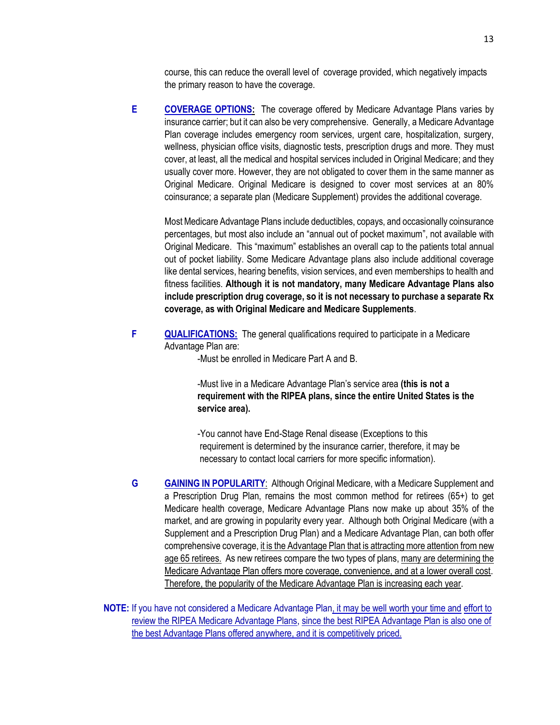course, this can reduce the overall level of coverage provided, which negatively impacts the primary reason to have the coverage.

**E COVERAGE OPTIONS:** The coverage offered by Medicare Advantage Plans varies by insurance carrier; but it can also be very comprehensive. Generally, a Medicare Advantage Plan coverage includes emergency room services, urgent care, hospitalization, surgery, wellness, physician office visits, diagnostic tests, prescription drugs and more. They must cover, at least, all the medical and hospital services included in Original Medicare; and they usually cover more. However, they are not obligated to cover them in the same manner as Original Medicare. Original Medicare is designed to cover most services at an 80% coinsurance; a separate plan (Medicare Supplement) provides the additional coverage.

Most Medicare Advantage Plans include deductibles, copays, and occasionally coinsurance percentages, but most also include an "annual out of pocket maximum", not available with Original Medicare. This "maximum" establishes an overall cap to the patients total annual out of pocket liability. Some Medicare Advantage plans also include additional coverage like dental services, hearing benefits, vision services, and even memberships to health and fitness facilities. **Although it is not mandatory, many Medicare Advantage Plans also include prescription drug coverage, so it is not necessary to purchase a separate Rx coverage, as with Original Medicare and Medicare Supplements**.

**F QUALIFICATIONS:** The general qualifications required to participate in a Medicare Advantage Plan are:

-Must be enrolled in Medicare Part A and B.

-Must live in a Medicare Advantage Plan's service area **(this is not a requirement with the RIPEA plans, since the entire United States is the service area).**

-You cannot have End-Stage Renal disease (Exceptions to this requirement is determined by the insurance carrier, therefore, it may be necessary to contact local carriers for more specific information).

**G GAINING IN POPULARITY**: Although Original Medicare, with a Medicare Supplement and a Prescription Drug Plan, remains the most common method for retirees (65+) to get Medicare health coverage, Medicare Advantage Plans now make up about 35% of the market, and are growing in popularity every year. Although both Original Medicare (with a Supplement and a Prescription Drug Plan) and a Medicare Advantage Plan, can both offer comprehensive coverage, it is the Advantage Plan that is attracting more attention from new age 65 retirees. As new retirees compare the two types of plans, many are determining the Medicare Advantage Plan offers more coverage, convenience, and at a lower overall cost. Therefore, the popularity of the Medicare Advantage Plan is increasing each year.

**NOTE:** If you have not considered a Medicare Advantage Plan, it may be well worth your time and effort to review the RIPEA Medicare Advantage Plans, since the best RIPEA Advantage Plan is also one of the best Advantage Plans offered anywhere, and it is competitively priced.